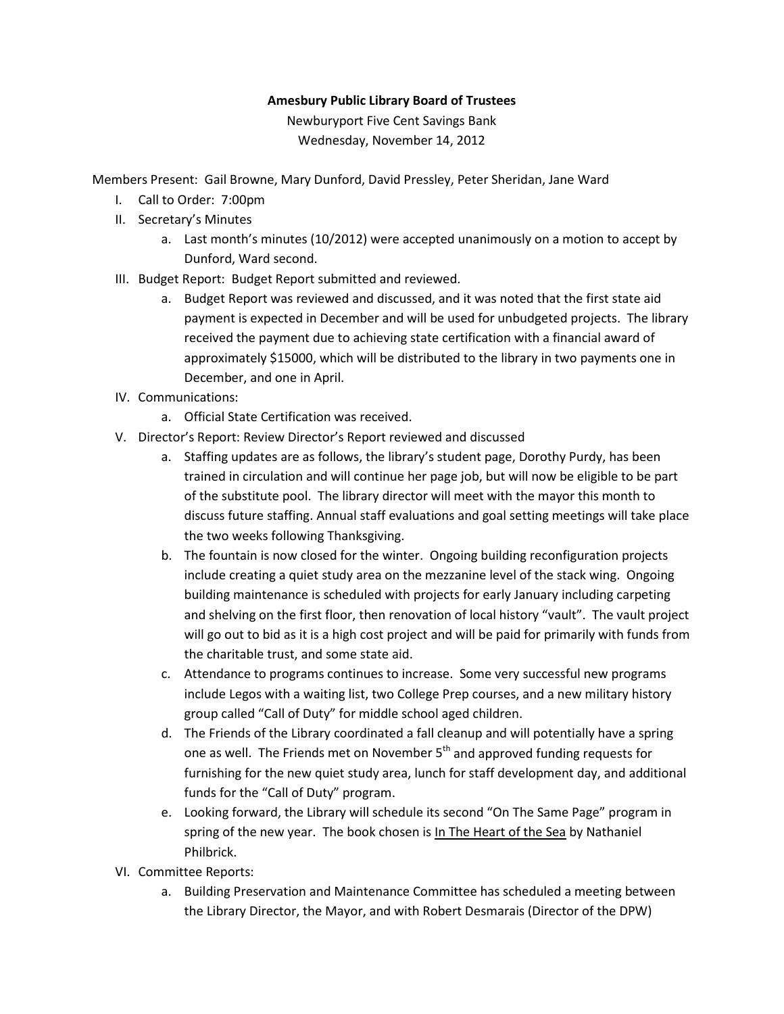## **Amesbury Public Library Board of Trustees**

Newburyport Five Cent Savings Bank Wednesday, November 14, 2012

Members Present: Gail Browne, Mary Dunford, David Pressley, Peter Sheridan, Jane Ward

- I. Call to Order: 7:00pm
- II. Secretary's Minutes
	- a. Last month's minutes (10/2012) were accepted unanimously on a motion to accept by Dunford, Ward second.
- III. Budget Report: Budget Report submitted and reviewed.
	- a. Budget Report was reviewed and discussed, and it was noted that the first state aid payment is expected in December and will be used for unbudgeted projects. The library received the payment due to achieving state certification with a financial award of approximately \$15000, which will be distributed to the library in two payments one in December, and one in April.
- IV. Communications:
	- a. Official State Certification was received.
- V. Director's Report: Review Director's Report reviewed and discussed
	- a. Staffing updates are as follows, the library's student page, Dorothy Purdy, has been trained in circulation and will continue her page job, but will now be eligible to be part of the substitute pool. The library director will meet with the mayor this month to discuss future staffing. Annual staff evaluations and goal setting meetings will take place the two weeks following Thanksgiving.
	- b. The fountain is now closed for the winter. Ongoing building reconfiguration projects include creating a quiet study area on the mezzanine level of the stack wing. Ongoing building maintenance is scheduled with projects for early January including carpeting and shelving on the first floor, then renovation of local history "vault". The vault project will go out to bid as it is a high cost project and will be paid for primarily with funds from the charitable trust, and some state aid.
	- c. Attendance to programs continues to increase. Some very successful new programs include Legos with a waiting list, two College Prep courses, and a new military history group called "Call of Duty" for middle school aged children.
	- d. The Friends of the Library coordinated a fall cleanup and will potentially have a spring one as well. The Friends met on November  $5<sup>th</sup>$  and approved funding requests for furnishing for the new quiet study area, lunch for staff development day, and additional funds for the "Call of Duty" program.
	- e. Looking forward, the Library will schedule its second "On The Same Page" program in spring of the new year. The book chosen is In The Heart of the Sea by Nathaniel Philbrick.
- VI. Committee Reports:
	- a. Building Preservation and Maintenance Committee has scheduled a meeting between the Library Director, the Mayor, and with Robert Desmarais (Director of the DPW)